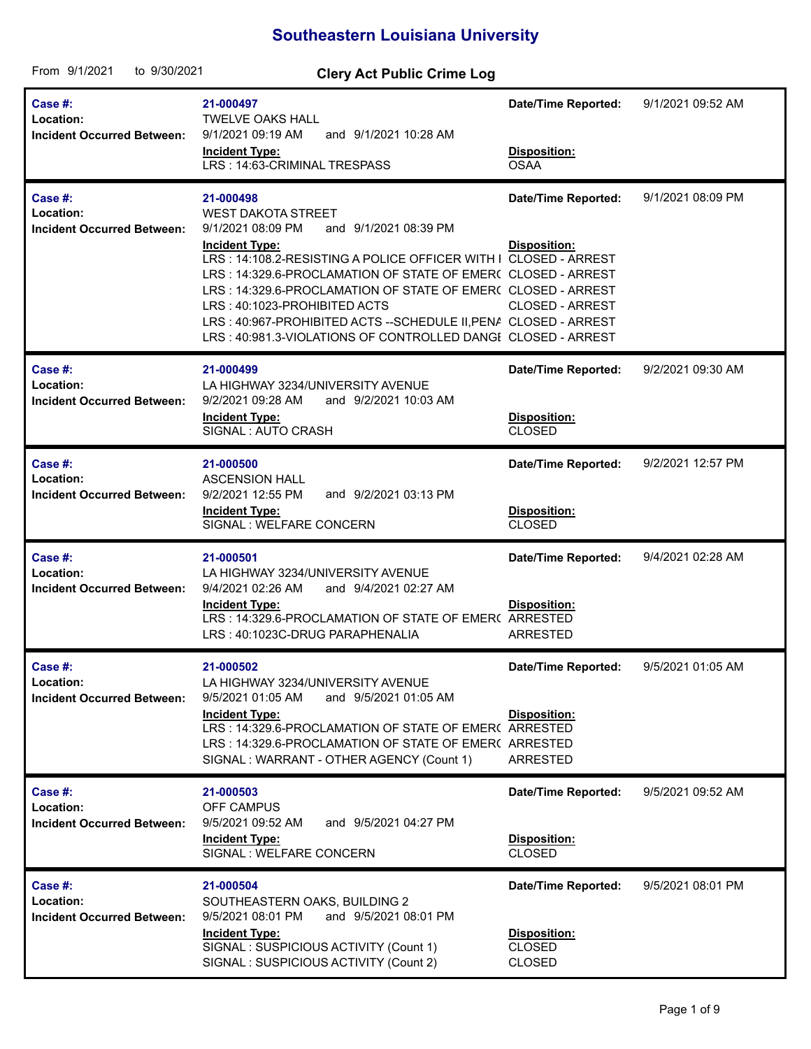## **Southeastern Louisiana University**

| From 9/1/2021<br>to 9/30/2021                             | <b>Clery Act Public Crime Log</b>                                                                                                                                                                                                                                                                                                                                                                                                                                                  |                                                                              |                   |
|-----------------------------------------------------------|------------------------------------------------------------------------------------------------------------------------------------------------------------------------------------------------------------------------------------------------------------------------------------------------------------------------------------------------------------------------------------------------------------------------------------------------------------------------------------|------------------------------------------------------------------------------|-------------------|
| Case #:<br>Location:<br><b>Incident Occurred Between:</b> | 21-000497<br><b>TWELVE OAKS HALL</b><br>and 9/1/2021 10:28 AM<br>9/1/2021 09:19 AM<br><b>Incident Type:</b><br>LRS: 14:63-CRIMINAL TRESPASS                                                                                                                                                                                                                                                                                                                                        | <b>Date/Time Reported:</b><br>Disposition:<br><b>OSAA</b>                    | 9/1/2021 09:52 AM |
| Case #:<br>Location:<br><b>Incident Occurred Between:</b> | 21-000498<br><b>WEST DAKOTA STREET</b><br>9/1/2021 08:09 PM<br>and 9/1/2021 08:39 PM<br><b>Incident Type:</b><br>LRS: 14:108.2-RESISTING A POLICE OFFICER WITH I CLOSED - ARREST<br>LRS: 14:329.6-PROCLAMATION OF STATE OF EMER( CLOSED - ARREST<br>LRS: 14:329.6-PROCLAMATION OF STATE OF EMER( CLOSED - ARREST<br>LRS: 40:1023-PROHIBITED ACTS<br>LRS: 40:967-PROHIBITED ACTS--SCHEDULE II, PENA CLOSED - ARREST<br>LRS: 40:981.3-VIOLATIONS OF CONTROLLED DANGI CLOSED - ARREST | <b>Date/Time Reported:</b><br><b>Disposition:</b><br><b>CLOSED - ARREST</b>  | 9/1/2021 08:09 PM |
| Case #:<br>Location:<br><b>Incident Occurred Between:</b> | 21-000499<br>LA HIGHWAY 3234/UNIVERSITY AVENUE<br>9/2/2021 09:28 AM<br>and 9/2/2021 10:03 AM<br><b>Incident Type:</b><br>SIGNAL: AUTO CRASH                                                                                                                                                                                                                                                                                                                                        | <b>Date/Time Reported:</b><br>Disposition:<br><b>CLOSED</b>                  | 9/2/2021 09:30 AM |
| Case #:<br>Location:<br><b>Incident Occurred Between:</b> | 21-000500<br><b>ASCENSION HALL</b><br>and 9/2/2021 03:13 PM<br>9/2/2021 12:55 PM<br><b>Incident Type:</b><br>SIGNAL : WELFARE CONCERN                                                                                                                                                                                                                                                                                                                                              | <b>Date/Time Reported:</b><br>Disposition:<br><b>CLOSED</b>                  | 9/2/2021 12:57 PM |
| Case #:<br>Location:<br><b>Incident Occurred Between:</b> | 21-000501<br>LA HIGHWAY 3234/UNIVERSITY AVENUE<br>9/4/2021 02:26 AM<br>and 9/4/2021 02:27 AM<br><b>Incident Type:</b><br>LRS: 14:329.6-PROCLAMATION OF STATE OF EMER( ARRESTED<br>LRS: 40:1023C-DRUG PARAPHENALIA                                                                                                                                                                                                                                                                  | <b>Date/Time Reported:</b><br>Disposition:<br><b>ARRESTED</b>                | 9/4/2021 02:28 AM |
| Case #:<br>Location:<br><b>Incident Occurred Between:</b> | 21-000502<br>LA HIGHWAY 3234/UNIVERSITY AVENUE<br>9/5/2021 01:05 AM<br>and 9/5/2021 01:05 AM<br><b>Incident Type:</b><br>LRS: 14:329.6-PROCLAMATION OF STATE OF EMER( ARRESTED<br>LRS: 14:329.6-PROCLAMATION OF STATE OF EMER( ARRESTED<br>SIGNAL : WARRANT - OTHER AGENCY (Count 1)                                                                                                                                                                                               | <b>Date/Time Reported:</b><br><b>Disposition:</b><br><b>ARRESTED</b>         | 9/5/2021 01:05 AM |
| Case #:<br>Location:<br><b>Incident Occurred Between:</b> | 21-000503<br><b>OFF CAMPUS</b><br>and 9/5/2021 04:27 PM<br>9/5/2021 09:52 AM<br><b>Incident Type:</b><br>SIGNAL : WELFARE CONCERN                                                                                                                                                                                                                                                                                                                                                  | <b>Date/Time Reported:</b><br>Disposition:<br><b>CLOSED</b>                  | 9/5/2021 09:52 AM |
| Case #:<br>Location:<br><b>Incident Occurred Between:</b> | 21-000504<br>SOUTHEASTERN OAKS, BUILDING 2<br>9/5/2021 08:01 PM<br>and 9/5/2021 08:01 PM<br><b>Incident Type:</b><br>SIGNAL : SUSPICIOUS ACTIVITY (Count 1)<br>SIGNAL : SUSPICIOUS ACTIVITY (Count 2)                                                                                                                                                                                                                                                                              | <b>Date/Time Reported:</b><br>Disposition:<br><b>CLOSED</b><br><b>CLOSED</b> | 9/5/2021 08:01 PM |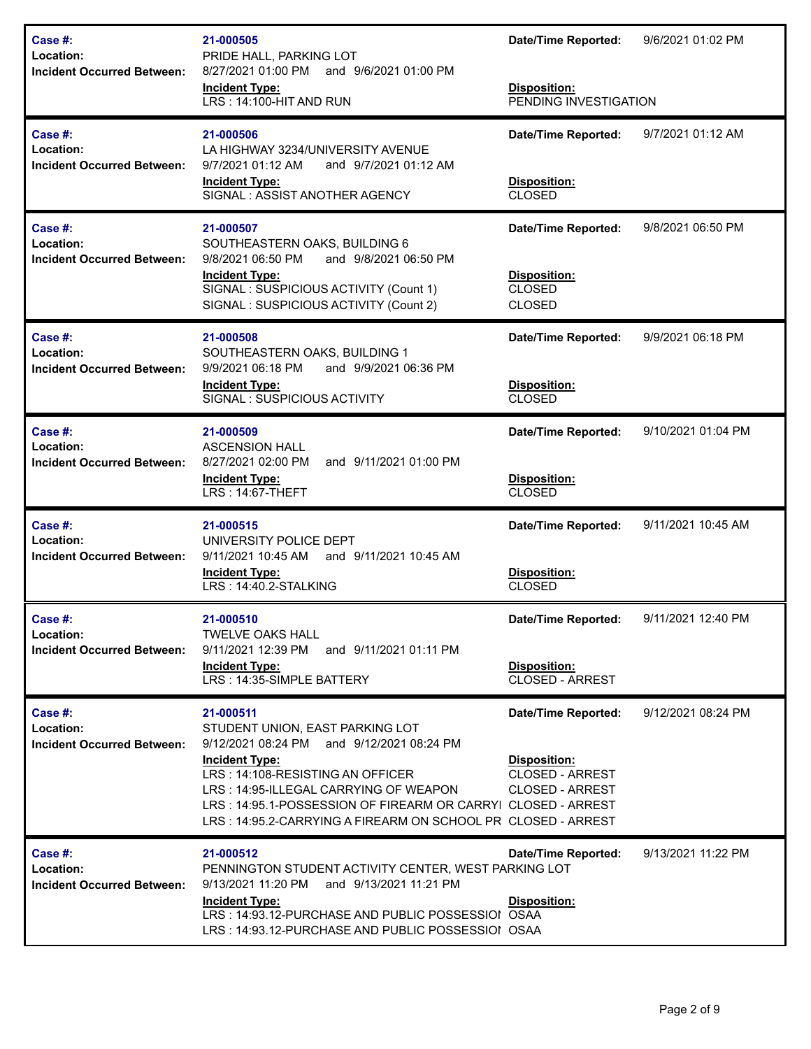| Case #:<br>Location:<br><b>Incident Occurred Between:</b>    | 21-000505<br>PRIDE HALL, PARKING LOT<br>8/27/2021 01:00 PM and 9/6/2021 01:00 PM<br><b>Incident Type:</b><br>LRS: 14:100-HIT AND RUN                                                                                                                                                                                            | <b>Date/Time Reported:</b><br>Disposition:<br>PENDING INVESTIGATION                                   | 9/6/2021 01:02 PM  |
|--------------------------------------------------------------|---------------------------------------------------------------------------------------------------------------------------------------------------------------------------------------------------------------------------------------------------------------------------------------------------------------------------------|-------------------------------------------------------------------------------------------------------|--------------------|
| Case #:<br>Location:<br><b>Incident Occurred Between:</b>    | 21-000506<br>LA HIGHWAY 3234/UNIVERSITY AVENUE<br>9/7/2021 01:12 AM<br>and 9/7/2021 01:12 AM<br><b>Incident Type:</b><br>SIGNAL: ASSIST ANOTHER AGENCY                                                                                                                                                                          | <b>Date/Time Reported:</b><br><b>Disposition:</b><br><b>CLOSED</b>                                    | 9/7/2021 01:12 AM  |
| Case #:<br>Location:<br><b>Incident Occurred Between:</b>    | 21-000507<br>SOUTHEASTERN OAKS, BUILDING 6<br>9/8/2021 06:50 PM<br>and 9/8/2021 06:50 PM<br><b>Incident Type:</b><br>SIGNAL : SUSPICIOUS ACTIVITY (Count 1)<br>SIGNAL : SUSPICIOUS ACTIVITY (Count 2)                                                                                                                           | <b>Date/Time Reported:</b><br>Disposition:<br><b>CLOSED</b><br><b>CLOSED</b>                          | 9/8/2021 06:50 PM  |
| Case #:<br>Location:<br><b>Incident Occurred Between:</b>    | 21-000508<br>SOUTHEASTERN OAKS, BUILDING 1<br>9/9/2021 06:18 PM<br>and 9/9/2021 06:36 PM<br><b>Incident Type:</b><br>SIGNAL: SUSPICIOUS ACTIVITY                                                                                                                                                                                | <b>Date/Time Reported:</b><br>Disposition:<br><b>CLOSED</b>                                           | 9/9/2021 06:18 PM  |
| Case #:<br>Location:<br><b>Incident Occurred Between:</b>    | 21-000509<br><b>ASCENSION HALL</b><br>8/27/2021 02:00 PM<br>and 9/11/2021 01:00 PM<br><b>Incident Type:</b><br>LRS: 14:67-THEFT                                                                                                                                                                                                 | <b>Date/Time Reported:</b><br>Disposition:<br><b>CLOSED</b>                                           | 9/10/2021 01:04 PM |
| Case #:<br>Location:<br><b>Incident Occurred Between:</b>    | 21-000515<br>UNIVERSITY POLICE DEPT<br>and 9/11/2021 10:45 AM<br>9/11/2021 10:45 AM<br><b>Incident Type:</b><br>LRS: 14:40.2-STALKING                                                                                                                                                                                           | <b>Date/Time Reported:</b><br>Disposition:<br><b>CLOSED</b>                                           | 9/11/2021 10:45 AM |
| Case $#$ :<br>Location:<br><b>Incident Occurred Between:</b> | 21-000510<br><b>TWELVE OAKS HALL</b><br>9/11/2021 12:39 PM and 9/11/2021 01:11 PM<br><b>Incident Type:</b><br>LRS: 14:35-SIMPLE BATTERY                                                                                                                                                                                         | <b>Date/Time Reported:</b><br>Disposition:<br><b>CLOSED - ARREST</b>                                  | 9/11/2021 12:40 PM |
| Case #:<br>Location:<br><b>Incident Occurred Between:</b>    | 21-000511<br>STUDENT UNION, EAST PARKING LOT<br>9/12/2021 08:24 PM and 9/12/2021 08:24 PM<br><b>Incident Type:</b><br>LRS: 14:108-RESISTING AN OFFICER<br>LRS: 14:95-ILLEGAL CARRYING OF WEAPON<br>LRS: 14:95.1-POSSESSION OF FIREARM OR CARRYI CLOSED - ARREST<br>LRS: 14:95.2-CARRYING A FIREARM ON SCHOOL PR CLOSED - ARREST | <b>Date/Time Reported:</b><br><b>Disposition:</b><br><b>CLOSED - ARREST</b><br><b>CLOSED - ARREST</b> | 9/12/2021 08:24 PM |
| Case #:<br>Location:<br><b>Incident Occurred Between:</b>    | 21-000512<br>PENNINGTON STUDENT ACTIVITY CENTER, WEST PARKING LOT<br>9/13/2021 11:20 PM and 9/13/2021 11:21 PM<br><b>Incident Type:</b><br>LRS: 14:93.12-PURCHASE AND PUBLIC POSSESSIOI OSAA<br>LRS: 14:93.12-PURCHASE AND PUBLIC POSSESSIOI OSAA                                                                               | <b>Date/Time Reported:</b><br><b>Disposition:</b>                                                     | 9/13/2021 11:22 PM |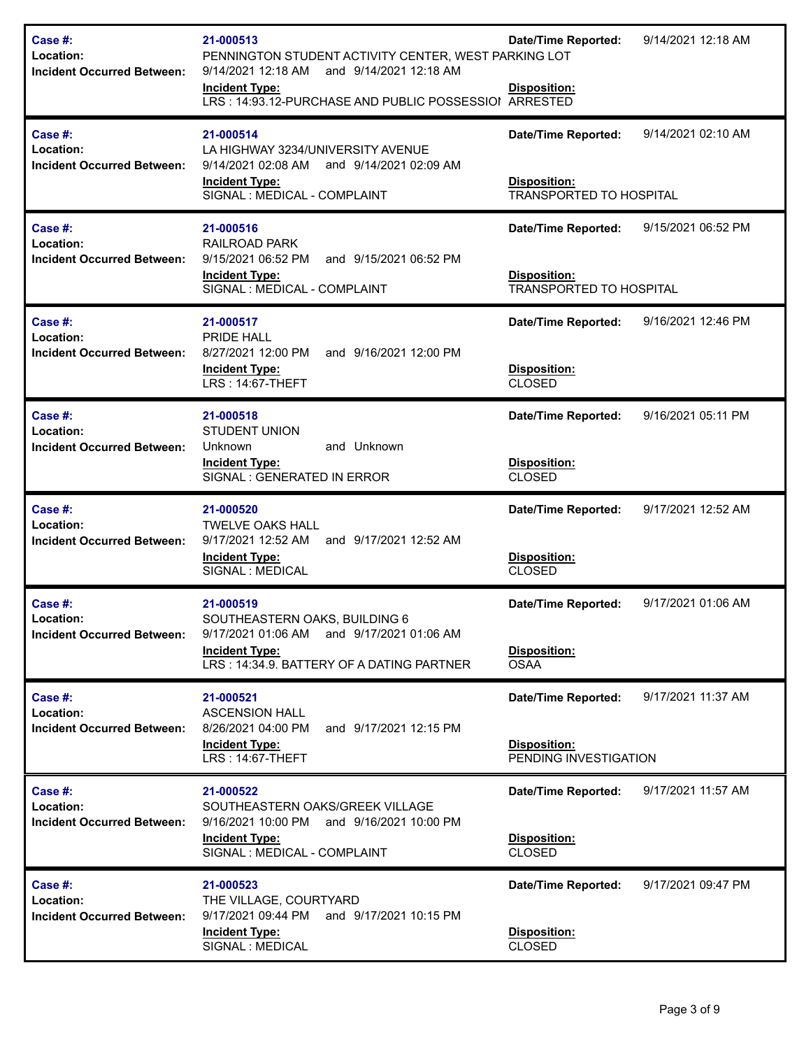| Case $#$ :<br>Location:<br><b>Incident Occurred Between:</b> | 21-000513<br>PENNINGTON STUDENT ACTIVITY CENTER, WEST PARKING LOT<br>9/14/2021 12:18 AM and 9/14/2021 12:18 AM<br><b>Incident Type:</b><br>LRS: 14:93.12-PURCHASE AND PUBLIC POSSESSIOI ARRESTED | <b>Date/Time Reported:</b><br>Disposition:                                          | 9/14/2021 12:18 AM |
|--------------------------------------------------------------|--------------------------------------------------------------------------------------------------------------------------------------------------------------------------------------------------|-------------------------------------------------------------------------------------|--------------------|
| Case #:<br>Location:<br><b>Incident Occurred Between:</b>    | 21-000514<br>LA HIGHWAY 3234/UNIVERSITY AVENUE<br>9/14/2021 02:08 AM<br>and 9/14/2021 02:09 AM<br><b>Incident Type:</b><br>SIGNAL: MEDICAL - COMPLAINT                                           | <b>Date/Time Reported:</b><br><b>Disposition:</b><br><b>TRANSPORTED TO HOSPITAL</b> | 9/14/2021 02:10 AM |
| Case #:<br>Location:<br><b>Incident Occurred Between:</b>    | 21-000516<br><b>RAILROAD PARK</b><br>9/15/2021 06:52 PM<br>and 9/15/2021 06:52 PM<br><b>Incident Type:</b><br>SIGNAL : MEDICAL - COMPLAINT                                                       | <b>Date/Time Reported:</b><br><b>Disposition:</b><br><b>TRANSPORTED TO HOSPITAL</b> | 9/15/2021 06:52 PM |
| Case #:<br>Location:<br><b>Incident Occurred Between:</b>    | 21-000517<br>PRIDE HALL<br>8/27/2021 12:00 PM<br>and 9/16/2021 12:00 PM<br><b>Incident Type:</b><br>LRS: 14:67-THEFT                                                                             | <b>Date/Time Reported:</b><br>Disposition:<br><b>CLOSED</b>                         | 9/16/2021 12:46 PM |
| Case #:<br>Location:<br><b>Incident Occurred Between:</b>    | 21-000518<br><b>STUDENT UNION</b><br>Unknown<br>and Unknown<br><b>Incident Type:</b><br>SIGNAL : GENERATED IN ERROR                                                                              | <b>Date/Time Reported:</b><br>Disposition:<br><b>CLOSED</b>                         | 9/16/2021 05:11 PM |
| Case #:<br>Location:<br><b>Incident Occurred Between:</b>    | 21-000520<br><b>TWELVE OAKS HALL</b><br>9/17/2021 12:52 AM<br>and 9/17/2021 12:52 AM<br><b>Incident Type:</b><br>SIGNAL : MEDICAL                                                                | <b>Date/Time Reported:</b><br>Disposition:<br><b>CLOSED</b>                         | 9/17/2021 12:52 AM |
| Case #:<br>Location:<br><b>Incident Occurred Between:</b>    | 21-000519<br>SOUTHEASTERN OAKS, BUILDING 6<br>9/17/2021 01:06 AM and 9/17/2021 01:06 AM<br><b>Incident Type:</b><br>LRS: 14:34.9. BATTERY OF A DATING PARTNER                                    | <b>Date/Time Reported:</b><br>Disposition:<br><b>OSAA</b>                           | 9/17/2021 01:06 AM |
| Case #:<br>Location:<br><b>Incident Occurred Between:</b>    | 21-000521<br><b>ASCENSION HALL</b><br>8/26/2021 04:00 PM<br>and 9/17/2021 12:15 PM<br><b>Incident Type:</b><br><b>LRS: 14:67-THEFT</b>                                                           | <b>Date/Time Reported:</b><br><b>Disposition:</b><br>PENDING INVESTIGATION          | 9/17/2021 11:37 AM |
| Case #:<br>Location:<br><b>Incident Occurred Between:</b>    | 21-000522<br>SOUTHEASTERN OAKS/GREEK VILLAGE<br>9/16/2021 10:00 PM and 9/16/2021 10:00 PM<br><b>Incident Type:</b><br>SIGNAL : MEDICAL - COMPLAINT                                               | <b>Date/Time Reported:</b><br>Disposition:<br><b>CLOSED</b>                         | 9/17/2021 11:57 AM |
| Case #:<br>Location:<br><b>Incident Occurred Between:</b>    | 21-000523<br>THE VILLAGE, COURTYARD<br>9/17/2021 09:44 PM and 9/17/2021 10:15 PM<br>Incident Type:<br>SIGNAL : MEDICAL                                                                           | <b>Date/Time Reported:</b><br>Disposition:<br><b>CLOSED</b>                         | 9/17/2021 09:47 PM |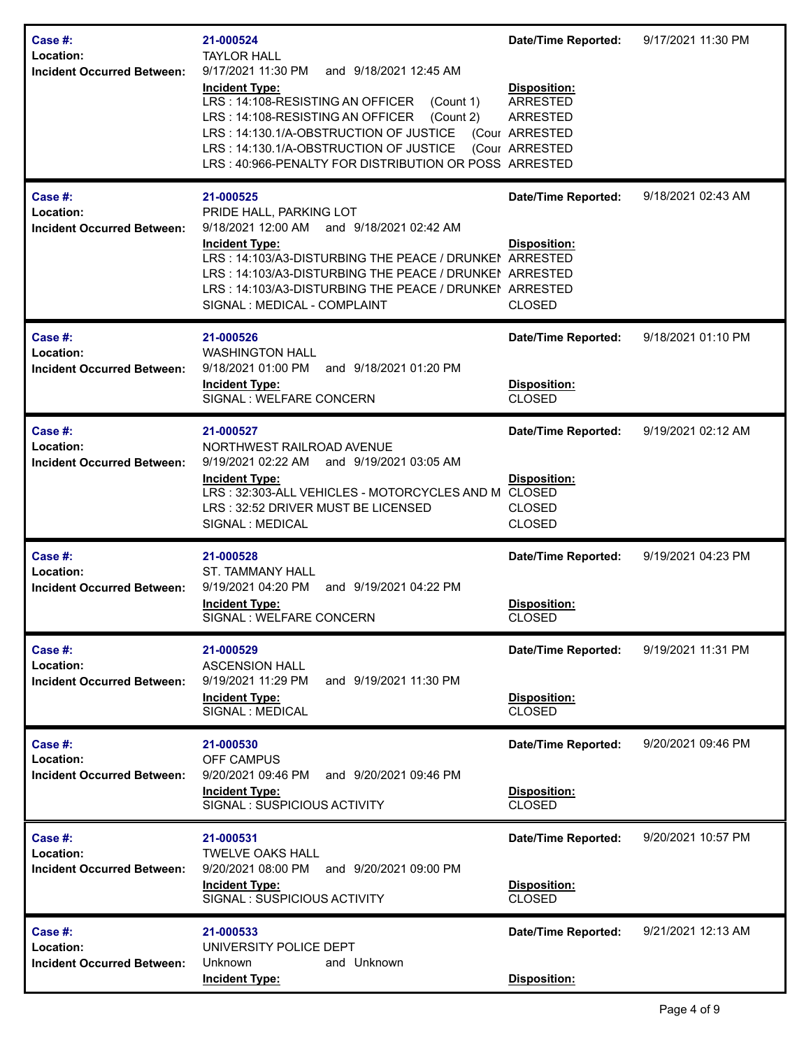| Case #:<br>Location:<br><b>Incident Occurred Between:</b> | 21-000524<br><b>TAYLOR HALL</b><br>9/17/2021 11:30 PM<br>and 9/18/2021 12:45 AM<br><b>Incident Type:</b><br>LRS: 14:108-RESISTING AN OFFICER<br>(Count 1)<br>LRS: 14:108-RESISTING AN OFFICER<br>(Count 2)<br>LRS: 14:130.1/A-OBSTRUCTION OF JUSTICE (Cour ARRESTED<br>LRS: 14:130.1/A-OBSTRUCTION OF JUSTICE<br>LRS: 40:966-PENALTY FOR DISTRIBUTION OR POSS ARRESTED | <b>Date/Time Reported:</b><br>Disposition:<br><b>ARRESTED</b><br><b>ARRESTED</b><br>(Cour ARRESTED | 9/17/2021 11:30 PM |
|-----------------------------------------------------------|------------------------------------------------------------------------------------------------------------------------------------------------------------------------------------------------------------------------------------------------------------------------------------------------------------------------------------------------------------------------|----------------------------------------------------------------------------------------------------|--------------------|
| Case #:<br>Location:<br><b>Incident Occurred Between:</b> | 21-000525<br>PRIDE HALL, PARKING LOT<br>9/18/2021 12:00 AM and 9/18/2021 02:42 AM<br><b>Incident Type:</b><br>LRS: 14:103/A3-DISTURBING THE PEACE / DRUNKEN ARRESTED<br>LRS: 14:103/A3-DISTURBING THE PEACE / DRUNKEI ARRESTED<br>LRS: 14:103/A3-DISTURBING THE PEACE / DRUNKEI ARRESTED<br>SIGNAL : MEDICAL - COMPLAINT                                               | <b>Date/Time Reported:</b><br><b>Disposition:</b><br><b>CLOSED</b>                                 | 9/18/2021 02:43 AM |
| Case #:<br>Location:<br><b>Incident Occurred Between:</b> | 21-000526<br><b>WASHINGTON HALL</b><br>9/18/2021 01:00 PM<br>and 9/18/2021 01:20 PM<br><b>Incident Type:</b><br>SIGNAL : WELFARE CONCERN                                                                                                                                                                                                                               | <b>Date/Time Reported:</b><br>Disposition:<br><b>CLOSED</b>                                        | 9/18/2021 01:10 PM |
| Case #:<br>Location:<br><b>Incident Occurred Between:</b> | 21-000527<br>NORTHWEST RAILROAD AVENUE<br>9/19/2021 02:22 AM and 9/19/2021 03:05 AM<br><b>Incident Type:</b><br>LRS: 32:303-ALL VEHICLES - MOTORCYCLES AND M<br>LRS: 32:52 DRIVER MUST BE LICENSED<br>SIGNAL : MEDICAL                                                                                                                                                 | <b>Date/Time Reported:</b><br>Disposition:<br><b>CLOSED</b><br><b>CLOSED</b><br><b>CLOSED</b>      | 9/19/2021 02:12 AM |
| Case #:<br>Location:<br><b>Incident Occurred Between:</b> | 21-000528<br><b>ST. TAMMANY HALL</b><br>and 9/19/2021 04:22 PM<br>9/19/2021 04:20 PM<br><b>Incident Type:</b><br>SIGNAL : WELFARE CONCERN                                                                                                                                                                                                                              | <b>Date/Time Reported:</b><br>Disposition:<br><b>CLOSED</b>                                        | 9/19/2021 04:23 PM |
| Case #:<br>Location:<br><b>Incident Occurred Between:</b> | 21-000529<br><b>ASCENSION HALL</b><br>9/19/2021 11:29 PM<br>and 9/19/2021 11:30 PM<br><b>Incident Type:</b><br>SIGNAL : MEDICAL                                                                                                                                                                                                                                        | <b>Date/Time Reported:</b><br>Disposition:<br><b>CLOSED</b>                                        | 9/19/2021 11:31 PM |
| Case #:<br>Location:<br><b>Incident Occurred Between:</b> | 21-000530<br>OFF CAMPUS<br>9/20/2021 09:46 PM<br>and 9/20/2021 09:46 PM<br><b>Incident Type:</b><br>SIGNAL: SUSPICIOUS ACTIVITY                                                                                                                                                                                                                                        | Date/Time Reported:<br><b>Disposition:</b><br><b>CLOSED</b>                                        | 9/20/2021 09:46 PM |
| Case #:<br>Location:<br><b>Incident Occurred Between:</b> | 21-000531<br><b>TWELVE OAKS HALL</b><br>9/20/2021 08:00 PM<br>and 9/20/2021 09:00 PM<br><b>Incident Type:</b><br>SIGNAL: SUSPICIOUS ACTIVITY                                                                                                                                                                                                                           | <b>Date/Time Reported:</b><br>Disposition:<br><b>CLOSED</b>                                        | 9/20/2021 10:57 PM |
| Case #:<br>Location:<br><b>Incident Occurred Between:</b> | 21-000533<br>UNIVERSITY POLICE DEPT<br>and Unknown<br>Unknown<br><b>Incident Type:</b>                                                                                                                                                                                                                                                                                 | <b>Date/Time Reported:</b><br>Disposition:                                                         | 9/21/2021 12:13 AM |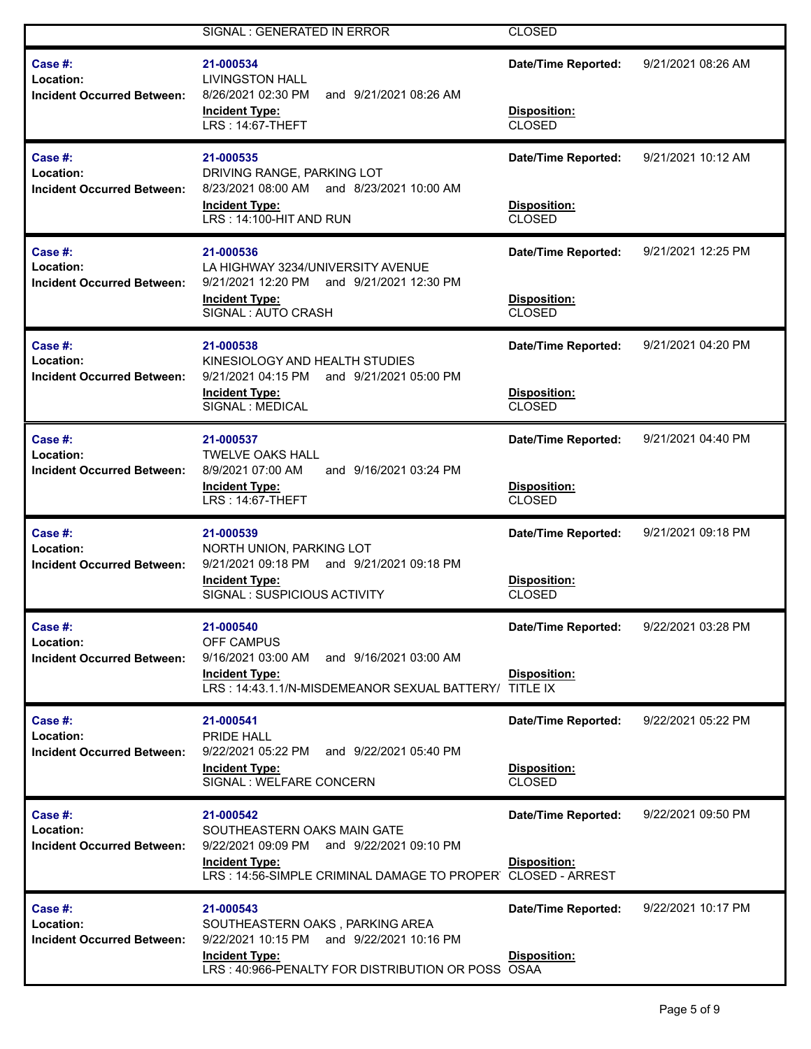|                                                           | SIGNAL : GENERATED IN ERROR                                                                                                                                                   | <b>CLOSED</b>                                               |                    |
|-----------------------------------------------------------|-------------------------------------------------------------------------------------------------------------------------------------------------------------------------------|-------------------------------------------------------------|--------------------|
| Case #:<br>Location:<br><b>Incident Occurred Between:</b> | 21-000534<br><b>LIVINGSTON HALL</b><br>8/26/2021 02:30 PM<br>and 9/21/2021 08:26 AM<br><b>Incident Type:</b><br>LRS: 14:67-THEFT                                              | <b>Date/Time Reported:</b><br>Disposition:<br>CLOSED        | 9/21/2021 08:26 AM |
| Case #:<br>Location:<br><b>Incident Occurred Between:</b> | 21-000535<br>DRIVING RANGE, PARKING LOT<br>8/23/2021 08:00 AM and 8/23/2021 10:00 AM<br><b>Incident Type:</b><br>LRS: 14:100-HIT AND RUN                                      | <b>Date/Time Reported:</b><br><b>Disposition:</b><br>CLOSED | 9/21/2021 10:12 AM |
| Case #:<br>Location:<br><b>Incident Occurred Between:</b> | 21-000536<br>LA HIGHWAY 3234/UNIVERSITY AVENUE<br>9/21/2021 12:20 PM and 9/21/2021 12:30 PM<br><b>Incident Type:</b><br>SIGNAL: AUTO CRASH                                    | <b>Date/Time Reported:</b><br>Disposition:<br>CLOSED        | 9/21/2021 12:25 PM |
| Case #:<br>Location:<br><b>Incident Occurred Between:</b> | 21-000538<br>KINESIOLOGY AND HEALTH STUDIES<br>9/21/2021 04:15 PM and 9/21/2021 05:00 PM<br><b>Incident Type:</b><br>SIGNAL: MEDICAL                                          | <b>Date/Time Reported:</b><br>Disposition:<br><b>CLOSED</b> | 9/21/2021 04:20 PM |
| Case #:<br>Location:<br><b>Incident Occurred Between:</b> | 21-000537<br><b>TWELVE OAKS HALL</b><br>8/9/2021 07:00 AM<br>and 9/16/2021 03:24 PM<br><b>Incident Type:</b><br>LRS: 14:67-THEFT                                              | <b>Date/Time Reported:</b><br>Disposition:<br><b>CLOSED</b> | 9/21/2021 04:40 PM |
| Case #:<br>Location:<br><b>Incident Occurred Between:</b> | 21-000539<br>NORTH UNION, PARKING LOT<br>9/21/2021 09:18 PM and 9/21/2021 09:18 PM<br><b>Incident Type:</b><br>SIGNAL: SUSPICIOUS ACTIVITY                                    | <b>Date/Time Reported:</b><br>Disposition:<br><b>CLOSED</b> | 9/21/2021 09:18 PM |
| Case #:<br>Location:<br><b>Incident Occurred Between:</b> | 21-000540<br><b>OFF CAMPUS</b><br>9/16/2021 03:00 AM<br>and 9/16/2021 03:00 AM<br><b>Incident Type:</b><br>LRS: 14:43.1.1/N-MISDEMEANOR SEXUAL BATTERY/ TITLE IX              | <b>Date/Time Reported:</b><br>Disposition:                  | 9/22/2021 03:28 PM |
| Case #:<br>Location:<br><b>Incident Occurred Between:</b> | 21-000541<br>PRIDE HALL<br>and 9/22/2021 05:40 PM<br>9/22/2021 05:22 PM<br><b>Incident Type:</b><br>SIGNAL : WELFARE CONCERN                                                  | <b>Date/Time Reported:</b><br>Disposition:<br><b>CLOSED</b> | 9/22/2021 05:22 PM |
| Case #:<br>Location:<br><b>Incident Occurred Between:</b> | 21-000542<br>SOUTHEASTERN OAKS MAIN GATE<br>9/22/2021 09:09 PM and 9/22/2021 09:10 PM<br><b>Incident Type:</b><br>LRS: 14:56-SIMPLE CRIMINAL DAMAGE TO PROPER CLOSED - ARREST | <b>Date/Time Reported:</b><br>Disposition:                  | 9/22/2021 09:50 PM |
| Case #:<br>Location:<br><b>Incident Occurred Between:</b> | 21-000543<br>SOUTHEASTERN OAKS, PARKING AREA<br>9/22/2021 10:15 PM and 9/22/2021 10:16 PM<br><b>Incident Type:</b><br>LRS: 40:966-PENALTY FOR DISTRIBUTION OR POSS OSAA       | <b>Date/Time Reported:</b><br>Disposition:                  | 9/22/2021 10:17 PM |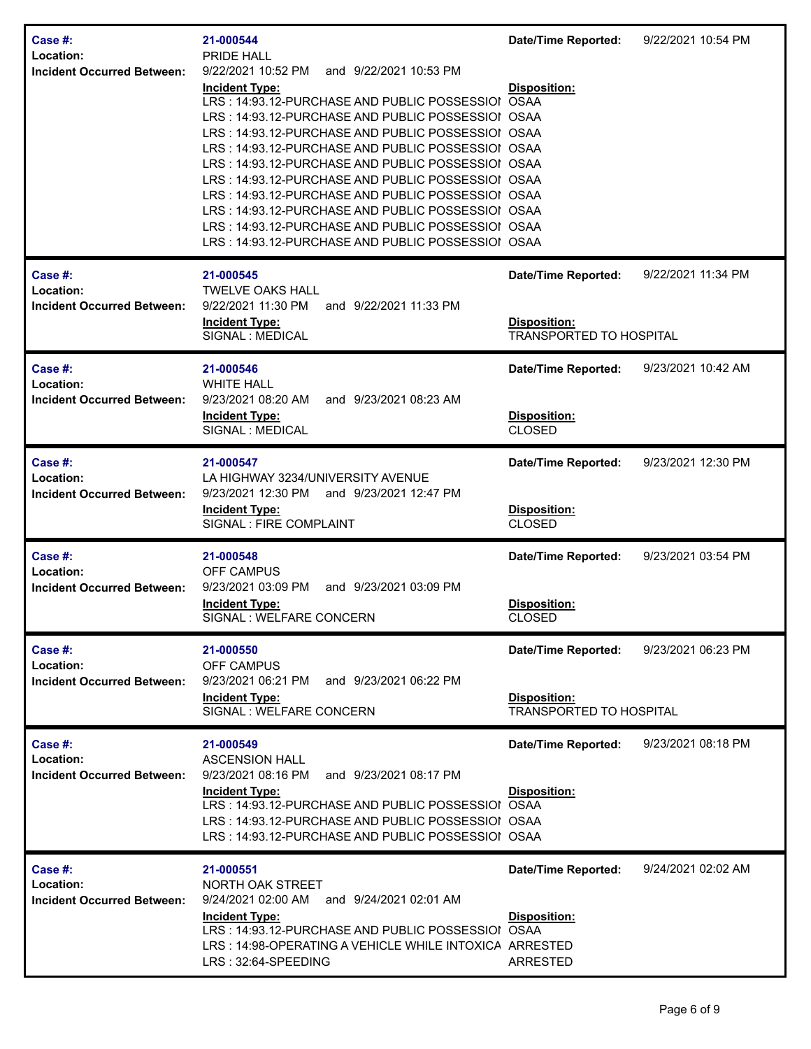| Case #:<br>Location:<br><b>Incident Occurred Between:</b> | 21-000544<br><b>PRIDE HALL</b><br>9/22/2021 10:52 PM<br>and 9/22/2021 10:53 PM<br><b>Incident Type:</b><br>LRS: 14:93.12-PURCHASE AND PUBLIC POSSESSIOI OSAA<br>LRS: 14:93.12-PURCHASE AND PUBLIC POSSESSIOI OSAA<br>LRS: 14:93.12-PURCHASE AND PUBLIC POSSESSIOI OSAA<br>LRS: 14:93.12-PURCHASE AND PUBLIC POSSESSIOI OSAA<br>LRS: 14:93.12-PURCHASE AND PUBLIC POSSESSIOI OSAA<br>LRS: 14:93.12-PURCHASE AND PUBLIC POSSESSIOI OSAA<br>LRS: 14:93.12-PURCHASE AND PUBLIC POSSESSIOI OSAA<br>LRS: 14:93.12-PURCHASE AND PUBLIC POSSESSIOI OSAA<br>LRS: 14:93.12-PURCHASE AND PUBLIC POSSESSIOI OSAA<br>LRS: 14:93.12-PURCHASE AND PUBLIC POSSESSIOI OSAA | <b>Date/Time Reported:</b><br>Disposition:                                   | 9/22/2021 10:54 PM |
|-----------------------------------------------------------|-----------------------------------------------------------------------------------------------------------------------------------------------------------------------------------------------------------------------------------------------------------------------------------------------------------------------------------------------------------------------------------------------------------------------------------------------------------------------------------------------------------------------------------------------------------------------------------------------------------------------------------------------------------|------------------------------------------------------------------------------|--------------------|
| Case #:<br>Location:<br><b>Incident Occurred Between:</b> | 21-000545<br><b>TWELVE OAKS HALL</b><br>9/22/2021 11:30 PM<br>and 9/22/2021 11:33 PM<br><b>Incident Type:</b><br>SIGNAL : MEDICAL                                                                                                                                                                                                                                                                                                                                                                                                                                                                                                                         | <b>Date/Time Reported:</b><br>Disposition:<br><b>TRANSPORTED TO HOSPITAL</b> | 9/22/2021 11:34 PM |
| Case #:<br>Location:<br><b>Incident Occurred Between:</b> | 21-000546<br><b>WHITE HALL</b><br>9/23/2021 08:20 AM<br>and 9/23/2021 08:23 AM<br><b>Incident Type:</b><br>SIGNAL : MEDICAL                                                                                                                                                                                                                                                                                                                                                                                                                                                                                                                               | <b>Date/Time Reported:</b><br>Disposition:<br><b>CLOSED</b>                  | 9/23/2021 10:42 AM |
| Case #:<br>Location:<br><b>Incident Occurred Between:</b> | 21-000547<br>LA HIGHWAY 3234/UNIVERSITY AVENUE<br>9/23/2021 12:30 PM and 9/23/2021 12:47 PM<br><b>Incident Type:</b><br>SIGNAL : FIRE COMPLAINT                                                                                                                                                                                                                                                                                                                                                                                                                                                                                                           | Date/Time Reported:<br>Disposition:<br><b>CLOSED</b>                         | 9/23/2021 12:30 PM |
| Case #:<br>Location:<br><b>Incident Occurred Between:</b> | 21-000548<br><b>OFF CAMPUS</b><br>9/23/2021 03:09 PM<br>and 9/23/2021 03:09 PM<br><b>Incident Type:</b><br>SIGNAL: WELFARE CONCERN                                                                                                                                                                                                                                                                                                                                                                                                                                                                                                                        | <b>Date/Time Reported:</b><br><b>Disposition:</b><br><b>CLOSED</b>           | 9/23/2021 03:54 PM |
| Case #:<br>Location:<br><b>Incident Occurred Between:</b> | 21-000550<br><b>OFF CAMPUS</b><br>9/23/2021 06:21 PM<br>and 9/23/2021 06:22 PM<br><b>Incident Type:</b><br>SIGNAL : WELFARE CONCERN                                                                                                                                                                                                                                                                                                                                                                                                                                                                                                                       | <b>Date/Time Reported:</b><br>Disposition:<br><b>TRANSPORTED TO HOSPITAL</b> | 9/23/2021 06:23 PM |
| Case #:<br>Location:<br><b>Incident Occurred Between:</b> | 21-000549<br><b>ASCENSION HALL</b><br>9/23/2021 08:16 PM<br>and 9/23/2021 08:17 PM<br><b>Incident Type:</b><br>LRS: 14:93.12-PURCHASE AND PUBLIC POSSESSIOI OSAA<br>LRS: 14:93.12-PURCHASE AND PUBLIC POSSESSIOI OSAA<br>LRS: 14:93.12-PURCHASE AND PUBLIC POSSESSIOI OSAA                                                                                                                                                                                                                                                                                                                                                                                | <b>Date/Time Reported:</b><br>Disposition:                                   | 9/23/2021 08:18 PM |
| Case #:<br>Location:<br><b>Incident Occurred Between:</b> | 21-000551<br>NORTH OAK STREET<br>9/24/2021 02:00 AM<br>and 9/24/2021 02:01 AM<br><b>Incident Type:</b><br>LRS: 14:93.12-PURCHASE AND PUBLIC POSSESSIOI OSAA<br>LRS: 14:98-OPERATING A VEHICLE WHILE INTOXICA ARRESTED<br>LRS: 32:64-SPEEDING                                                                                                                                                                                                                                                                                                                                                                                                              | <b>Date/Time Reported:</b><br>Disposition:<br><b>ARRESTED</b>                | 9/24/2021 02:02 AM |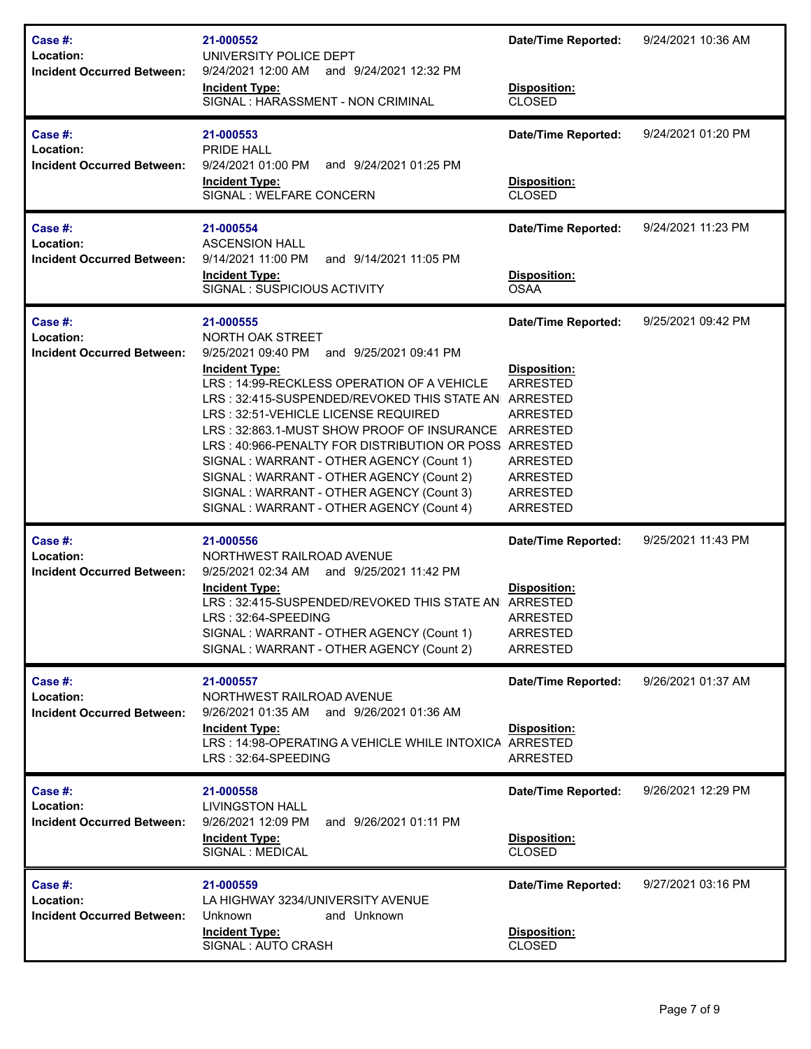| <b>Case #:</b><br>Location:<br><b>Incident Occurred Between:</b> | 21-000552<br>UNIVERSITY POLICE DEPT<br>9/24/2021 12:00 AM and 9/24/2021 12:32 PM<br><b>Incident Type:</b><br>SIGNAL : HARASSMENT - NON CRIMINAL                                                                                                                                                                                                                                                                                                                                                                                                     | <b>Date/Time Reported:</b><br>Disposition:<br><b>CLOSED</b>                                                        | 9/24/2021 10:36 AM |
|------------------------------------------------------------------|-----------------------------------------------------------------------------------------------------------------------------------------------------------------------------------------------------------------------------------------------------------------------------------------------------------------------------------------------------------------------------------------------------------------------------------------------------------------------------------------------------------------------------------------------------|--------------------------------------------------------------------------------------------------------------------|--------------------|
| <b>Case #:</b><br>Location:<br><b>Incident Occurred Between:</b> | 21-000553<br>PRIDE HALL<br>9/24/2021 01:00 PM<br>and 9/24/2021 01:25 PM<br><b>Incident Type:</b><br>SIGNAL : WELFARE CONCERN                                                                                                                                                                                                                                                                                                                                                                                                                        | <b>Date/Time Reported:</b><br>Disposition:<br><b>CLOSED</b>                                                        | 9/24/2021 01:20 PM |
| Case #:<br>Location:<br><b>Incident Occurred Between:</b>        | 21-000554<br><b>ASCENSION HALL</b><br>9/14/2021 11:00 PM<br>and 9/14/2021 11:05 PM<br><b>Incident Type:</b><br>SIGNAL: SUSPICIOUS ACTIVITY                                                                                                                                                                                                                                                                                                                                                                                                          | <b>Date/Time Reported:</b><br>Disposition:<br><b>OSAA</b>                                                          | 9/24/2021 11:23 PM |
| Case #:<br>Location:<br><b>Incident Occurred Between:</b>        | 21-000555<br>NORTH OAK STREET<br>9/25/2021 09:40 PM<br>and 9/25/2021 09:41 PM<br><b>Incident Type:</b><br>LRS: 14:99-RECKLESS OPERATION OF A VEHICLE<br>LRS: 32:415-SUSPENDED/REVOKED THIS STATE AN ARRESTED<br>LRS: 32:51-VEHICLE LICENSE REQUIRED<br>LRS: 32:863.1-MUST SHOW PROOF OF INSURANCE ARRESTED<br>LRS: 40:966-PENALTY FOR DISTRIBUTION OR POSS ARRESTED<br>SIGNAL: WARRANT - OTHER AGENCY (Count 1)<br>SIGNAL: WARRANT - OTHER AGENCY (Count 2)<br>SIGNAL: WARRANT - OTHER AGENCY (Count 3)<br>SIGNAL: WARRANT - OTHER AGENCY (Count 4) | <b>Date/Time Reported:</b><br>Disposition:<br>ARRESTED<br>ARRESTED<br>ARRESTED<br>ARRESTED<br>ARRESTED<br>ARRESTED | 9/25/2021 09:42 PM |
| Case #:<br>Location:<br><b>Incident Occurred Between:</b>        | 21-000556<br>NORTHWEST RAILROAD AVENUE<br>9/25/2021 02:34 AM and 9/25/2021 11:42 PM<br><b>Incident Type:</b><br>LRS: 32:415-SUSPENDED/REVOKED THIS STATE AN ARRESTED<br>LRS : 32:64-SPEEDING<br>SIGNAL: WARRANT - OTHER AGENCY (Count 1)<br>SIGNAL: WARRANT - OTHER AGENCY (Count 2)                                                                                                                                                                                                                                                                | <b>Date/Time Reported:</b><br><b>Disposition:</b><br><b>ARRESTED</b><br><b>ARRESTED</b><br>ARRESTED                | 9/25/2021 11:43 PM |
| <b>Case #:</b><br>Location:<br><b>Incident Occurred Between:</b> | 21-000557<br>NORTHWEST RAILROAD AVENUE<br>9/26/2021 01:35 AM and 9/26/2021 01:36 AM<br><b>Incident Type:</b><br>LRS: 14:98-OPERATING A VEHICLE WHILE INTOXICA ARRESTED<br>LRS: 32:64-SPEEDING                                                                                                                                                                                                                                                                                                                                                       | <b>Date/Time Reported:</b><br><b>Disposition:</b><br>ARRESTED                                                      | 9/26/2021 01:37 AM |
| Case #:<br>Location:<br><b>Incident Occurred Between:</b>        | 21-000558<br><b>LIVINGSTON HALL</b><br>9/26/2021 12:09 PM<br>and 9/26/2021 01:11 PM<br><b>Incident Type:</b><br>SIGNAL : MEDICAL                                                                                                                                                                                                                                                                                                                                                                                                                    | <b>Date/Time Reported:</b><br>Disposition:<br><b>CLOSED</b>                                                        | 9/26/2021 12:29 PM |
| Case #:<br>Location:<br><b>Incident Occurred Between:</b>        | 21-000559<br>LA HIGHWAY 3234/UNIVERSITY AVENUE<br>Unknown<br>and Unknown<br><b>Incident Type:</b><br>SIGNAL : AUTO CRASH                                                                                                                                                                                                                                                                                                                                                                                                                            | <b>Date/Time Reported:</b><br>Disposition:<br>CLOSED                                                               | 9/27/2021 03:16 PM |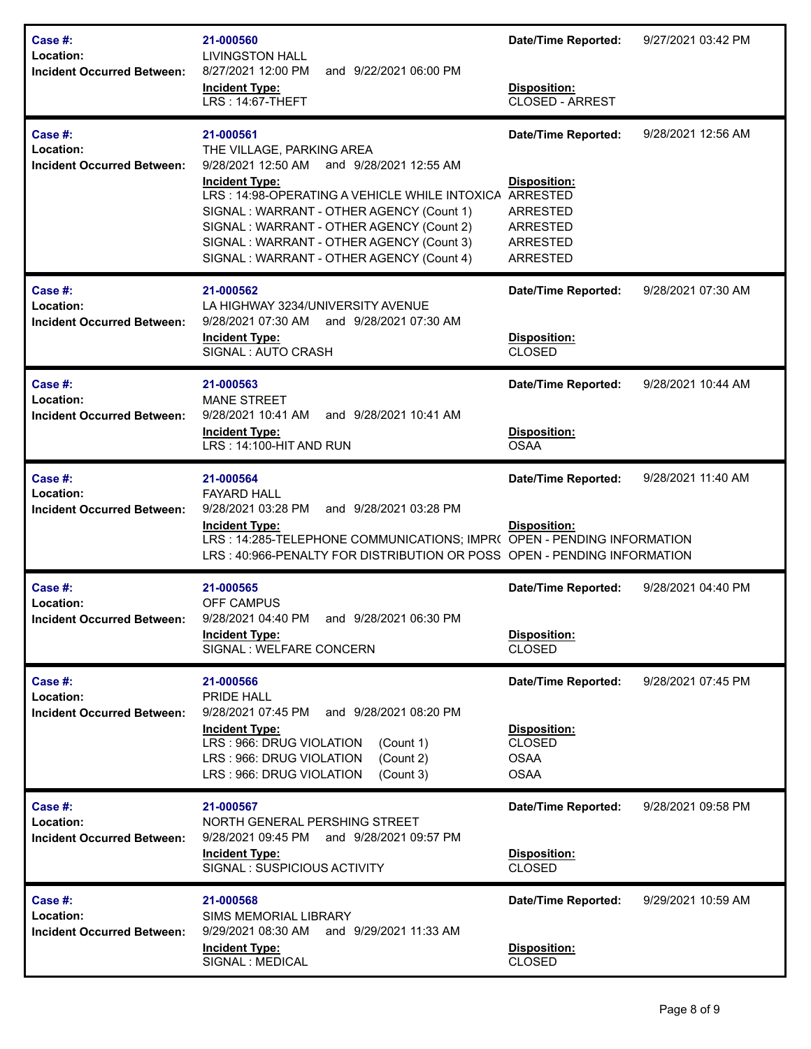| Case #:<br>Location:<br><b>Incident Occurred Between:</b> | 21-000560<br><b>LIVINGSTON HALL</b><br>8/27/2021 12:00 PM<br>and 9/22/2021 06:00 PM<br><b>Incident Type:</b><br>LRS: 14:67-THEFT                                                                                                                                                                                                              | <b>Date/Time Reported:</b><br><b>Disposition:</b><br>CLOSED - ARREST                                                               | 9/27/2021 03:42 PM |
|-----------------------------------------------------------|-----------------------------------------------------------------------------------------------------------------------------------------------------------------------------------------------------------------------------------------------------------------------------------------------------------------------------------------------|------------------------------------------------------------------------------------------------------------------------------------|--------------------|
| Case #:<br>Location:<br><b>Incident Occurred Between:</b> | 21-000561<br>THE VILLAGE, PARKING AREA<br>9/28/2021 12:50 AM and 9/28/2021 12:55 AM<br><b>Incident Type:</b><br>LRS: 14:98-OPERATING A VEHICLE WHILE INTOXICA<br>SIGNAL: WARRANT - OTHER AGENCY (Count 1)<br>SIGNAL: WARRANT - OTHER AGENCY (Count 2)<br>SIGNAL: WARRANT - OTHER AGENCY (Count 3)<br>SIGNAL: WARRANT - OTHER AGENCY (Count 4) | <b>Date/Time Reported:</b><br>Disposition:<br>ARRESTED<br><b>ARRESTED</b><br><b>ARRESTED</b><br><b>ARRESTED</b><br><b>ARRESTED</b> | 9/28/2021 12:56 AM |
| Case #:<br>Location:<br><b>Incident Occurred Between:</b> | 21-000562<br>LA HIGHWAY 3234/UNIVERSITY AVENUE<br>9/28/2021 07:30 AM<br>and 9/28/2021 07:30 AM<br><b>Incident Type:</b><br>SIGNAL: AUTO CRASH                                                                                                                                                                                                 | <b>Date/Time Reported:</b><br><b>Disposition:</b><br><b>CLOSED</b>                                                                 | 9/28/2021 07:30 AM |
| Case #:<br>Location:<br><b>Incident Occurred Between:</b> | 21-000563<br><b>MANE STREET</b><br>9/28/2021 10:41 AM<br>and 9/28/2021 10:41 AM<br><b>Incident Type:</b><br>LRS: 14:100-HIT AND RUN                                                                                                                                                                                                           | <b>Date/Time Reported:</b><br>Disposition:<br><b>OSAA</b>                                                                          | 9/28/2021 10:44 AM |
| Case #:<br>Location:<br><b>Incident Occurred Between:</b> | 21-000564<br><b>FAYARD HALL</b><br>9/28/2021 03:28 PM<br>and 9/28/2021 03:28 PM<br><b>Incident Type:</b><br>LRS: 14:285-TELEPHONE COMMUNICATIONS; IMPR( OPEN - PENDING INFORMATION<br>LRS: 40:966-PENALTY FOR DISTRIBUTION OR POSS OPEN - PENDING INFORMATION                                                                                 | <b>Date/Time Reported:</b><br><b>Disposition:</b>                                                                                  | 9/28/2021 11:40 AM |
| Case #:<br>Location:                                      | 21-000565<br><b>OFF CAMPUS</b><br>Incident Occurred Between: 9/28/2021 04:40 PM and 9/28/2021 06:30 PM<br><b>Incident Type:</b><br>SIGNAL : WELFARE CONCERN                                                                                                                                                                                   | <b>Date/Time Reported:</b><br>Disposition:<br><b>CLOSED</b>                                                                        | 9/28/2021 04:40 PM |
| Case #:<br>Location:<br><b>Incident Occurred Between:</b> | 21-000566<br>PRIDE HALL<br>9/28/2021 07:45 PM<br>and 9/28/2021 08:20 PM<br><b>Incident Type:</b><br>LRS: 966: DRUG VIOLATION<br>(Count 1)<br>LRS: 966: DRUG VIOLATION<br>(Count 2)<br>LRS: 966: DRUG VIOLATION<br>(Count 3)                                                                                                                   | <b>Date/Time Reported:</b><br>Disposition:<br><b>CLOSED</b><br><b>OSAA</b><br><b>OSAA</b>                                          | 9/28/2021 07:45 PM |
| Case #:<br>Location:<br><b>Incident Occurred Between:</b> | 21-000567<br>NORTH GENERAL PERSHING STREET<br>9/28/2021 09:45 PM<br>and 9/28/2021 09:57 PM<br><b>Incident Type:</b><br>SIGNAL: SUSPICIOUS ACTIVITY                                                                                                                                                                                            | <b>Date/Time Reported:</b><br>Disposition:<br><b>CLOSED</b>                                                                        | 9/28/2021 09:58 PM |
| Case #:<br>Location:<br><b>Incident Occurred Between:</b> | 21-000568<br>SIMS MEMORIAL LIBRARY<br>9/29/2021 08:30 AM<br>and 9/29/2021 11:33 AM<br><b>Incident Type:</b><br>SIGNAL : MEDICAL                                                                                                                                                                                                               | <b>Date/Time Reported:</b><br>Disposition:<br><b>CLOSED</b>                                                                        | 9/29/2021 10:59 AM |